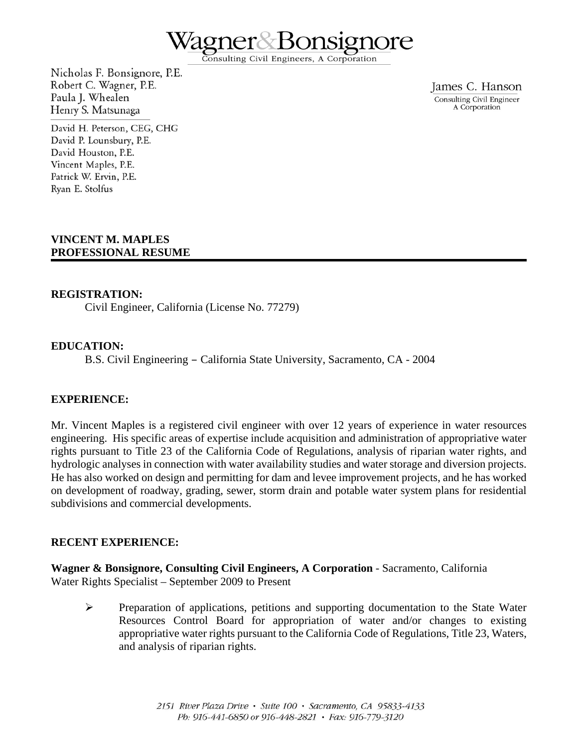

Consulting Civil Engineers, A Corporation

Nicholas F. Bonsignore, P.E. Robert C. Wagner, P.E. Paula J. Whealen Henry S. Matsunaga

David H. Peterson, CEG, CHG David P. Lounsbury, P.E. David Houston, P.E. Vincent Maples, P.E. Patrick W. Ervin, P.E. Ryan E. Stolfus

James C. Hanson Consulting Civil Engineer A Corporation

### **VINCENT M. MAPLES PROFESSIONAL RESUME**

#### **REGISTRATION:**

Civil Engineer, California (License No. 77279)

#### **EDUCATION:**

B.S. Civil Engineering – California State University, Sacramento, CA - 2004

#### **EXPERIENCE:**

Mr. Vincent Maples is a registered civil engineer with over 12 years of experience in water resources engineering. His specific areas of expertise include acquisition and administration of appropriative water rights pursuant to Title 23 of the California Code of Regulations, analysis of riparian water rights, and hydrologic analyses in connection with water availability studies and water storage and diversion projects. He has also worked on design and permitting for dam and levee improvement projects, and he has worked on development of roadway, grading, sewer, storm drain and potable water system plans for residential subdivisions and commercial developments.

#### **RECENT EXPERIENCE:**

**Wagner & Bonsignore, Consulting Civil Engineers, A Corporation** - Sacramento, California Water Rights Specialist – September 2009 to Present

 Preparation of applications, petitions and supporting documentation to the State Water Resources Control Board for appropriation of water and/or changes to existing appropriative water rights pursuant to the California Code of Regulations, Title 23, Waters, and analysis of riparian rights.